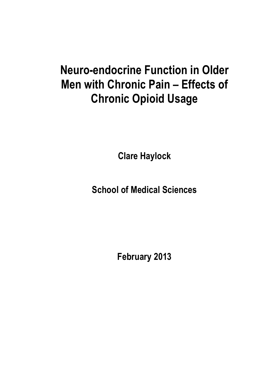# **Neuro-endocrine Function in Older Men with Chronic Pain – Effects of Chronic Opioid Usage**

**Clare Haylock**

**School of Medical Sciences**

**February 2013**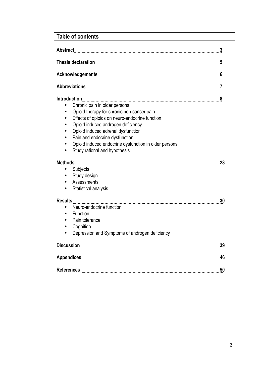## **Table of contents**

| <b>Abstract</b>                                                                                                                                                                                                                                                                                                                                              | 3  |
|--------------------------------------------------------------------------------------------------------------------------------------------------------------------------------------------------------------------------------------------------------------------------------------------------------------------------------------------------------------|----|
|                                                                                                                                                                                                                                                                                                                                                              | 5  |
|                                                                                                                                                                                                                                                                                                                                                              | 6  |
|                                                                                                                                                                                                                                                                                                                                                              | 7  |
| <b>Introduction</b><br>Chronic pain in older persons<br>Opioid therapy for chronic non-cancer pain<br>Effects of opioids on neuro-endocrine function<br>Opioid induced androgen deficiency<br>Opioid induced adrenal dysfunction<br>Pain and endocrine dysfunction<br>Opioid induced endocrine dysfunction in older persons<br>Study rational and hypothesis | 8  |
| <b>Methods</b>                                                                                                                                                                                                                                                                                                                                               | 23 |
| Subjects<br>Study design<br>Assessments<br>Statistical analysis                                                                                                                                                                                                                                                                                              |    |
| <b>Results</b>                                                                                                                                                                                                                                                                                                                                               | 30 |
| Neuro-endocrine function<br>Function<br>Pain tolerance<br>Cognition<br>Depression and Symptoms of androgen deficiency                                                                                                                                                                                                                                        |    |
|                                                                                                                                                                                                                                                                                                                                                              | 39 |
|                                                                                                                                                                                                                                                                                                                                                              | 46 |
|                                                                                                                                                                                                                                                                                                                                                              | 50 |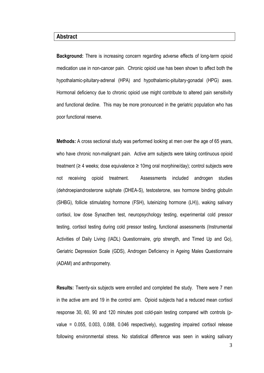#### **Abstract**

**Background:** There is increasing concern regarding adverse effects of long-term opioid medication use in non-cancer pain. Chronic opioid use has been shown to affect both the hypothalamic-pituitary-adrenal (HPA) and hypothalamic-pituitary-gonadal (HPG) axes. Hormonal deficiency due to chronic opioid use might contribute to altered pain sensitivity and functional decline. This may be more pronounced in the geriatric population who has poor functional reserve.

**Methods:** A cross sectional study was performed looking at men over the age of 65 years, who have chronic non-malignant pain. Active arm subjects were taking continuous opioid treatment ( $\geq 4$  weeks; dose equivalence  $\geq 10$ mg oral morphine/day); control subjects were not receiving opioid treatment. Assessments included androgen studies (dehdroepiandrosterone sulphate (DHEA-S), testosterone, sex hormone binding globulin (SHBG), follicle stimulating hormone (FSH), luteinizing hormone (LH)), waking salivary cortisol, low dose Synacthen test, neuropsychology testing, experimental cold pressor testing, cortisol testing during cold pressor testing, functional assessments (Instrumental Activities of Daily Living (IADL) Questionnaire, grip strength, and Timed Up and Go), Geriatric Depression Scale (GDS), Androgen Deficiency in Ageing Males Questionnaire (ADAM) and anthropometry.

**Results:** Twenty-six subjects were enrolled and completed the study. There were 7 men in the active arm and 19 in the control arm. Opioid subjects had a reduced mean cortisol response 30, 60, 90 and 120 minutes post cold-pain testing compared with controls (pvalue = 0.055, 0.003, 0.088, 0.046 respectively), suggesting impaired cortisol release following environmental stress. No statistical difference was seen in waking salivary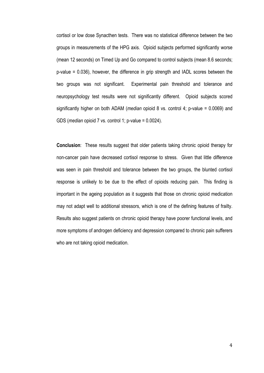cortisol or low dose Synacthen tests. There was no statistical difference between the two groups in measurements of the HPG axis. Opioid subjects performed significantly worse (mean 12 seconds) on Timed Up and Go compared to control subjects (mean 8.6 seconds; p-value = 0.036), however, the difference in grip strength and IADL scores between the two groups was not significant. Experimental pain threshold and tolerance and neuropsychology test results were not significantly different. Opioid subjects scored significantly higher on both ADAM (*median* opioid 8 vs. control 4; p-value = 0.0069) and GDS (*median* opioid 7 vs. control 1; p-value = 0.0024).

**Conclusion**: These results suggest that older patients taking chronic opioid therapy for non-cancer pain have decreased cortisol response to stress. Given that little difference was seen in pain threshold and tolerance between the two groups, the blunted cortisol response is unlikely to be due to the effect of opioids reducing pain. This finding is important in the ageing population as it suggests that those on chronic opioid medication may not adapt well to additional stressors, which is one of the defining features of frailty. Results also suggest patients on chronic opioid therapy have poorer functional levels, and more symptoms of androgen deficiency and depression compared to chronic pain sufferers who are not taking opioid medication.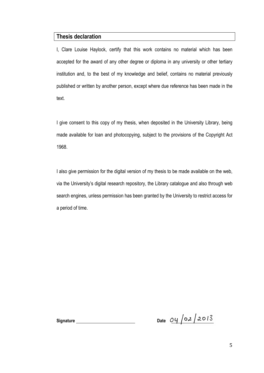#### **Thesis declaration**

I, Clare Louise Haylock, certify that this work contains no material which has been accepted for the award of any other degree or diploma in any university or other tertiary institution and, to the best of my knowledge and belief, contains no material previously published or written by another person, except where due reference has been made in the text.

I give consent to this copy of my thesis, when deposited in the University Library, being made available for loan and photocopying, subject to the provisions of the Copyright Act 1968.

I also give permission for the digital version of my thesis to be made available on the web, via the University's digital research repository, the Library catalogue and also through web search engines, unless permission has been granted by the University to restrict access for a period of time.

Signature Date  $O\left(\frac{1}{2} \right)$  Date  $O\left(\frac{1}{2} \right)$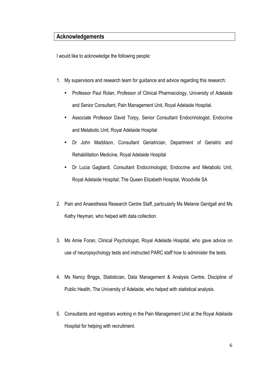### **Acknowledgements**

I would like to acknowledge the following people:

- 1. My supervisors and research team for guidance and advice regarding this research:
	- Professor Paul Rolan, Professor of Clinical Pharmacology, University of Adelaide and Senior Consultant, Pain Management Unit, Royal Adelaide Hospital.
	- Associate Professor David Torpy, Senior Consultant Endocrinologist, Endocrine and Metabolic Unit, Royal Adelaide Hospital
	- Dr John Maddison, Consultant Geriatrician, Department of Geriatric and Rehabilitation Medicine, Royal Adelaide Hospital
	- Dr Lucia Gagliardi, Consultant Endocrinologist, Endocrine and Metabolic Unit, Royal Adelaide Hospital; The Queen Elizabeth Hospital, Woodville SA
- 2. Pain and Anaesthesia Research Centre Staff, particularly Ms Melanie Gentgall and Ms Kathy Heyman, who helped with data collection.
- 3. Ms Amie Foran, Clinical Psychologist, Royal Adelaide Hospital, who gave advice on use of neuropsychology tests and instructed PARC staff how to administer the tests.
- 4. Ms Nancy Briggs, Statistician, Data Management & Analysis Centre, Discipline of Public Health, The University of Adelaide, who helped with statistical analysis.
- 5. Consultants and registrars working in the Pain Management Unit at the Royal Adelaide Hospital for helping with recruitment.